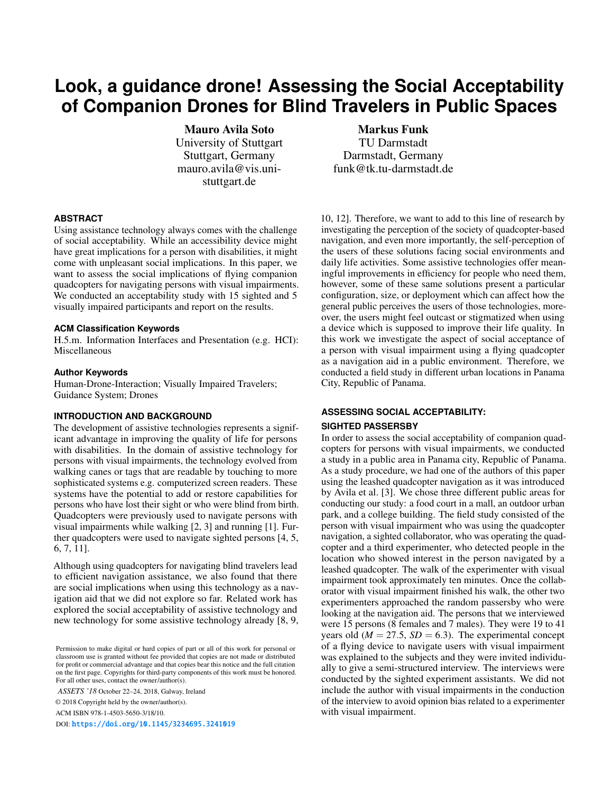# **Look, a guidance drone! Assessing the Social Acceptability of Companion Drones for Blind Travelers in Public Spaces**

Mauro Avila Soto Markus Funk University of Stuttgart TU Darmstadt stuttgart.de

**ABSTRACT** 

Using assistance technology always comes with the challenge of social acceptability. While an accessibility device might have great implications for a person with disabilities, it might come with unpleasant social implications. In this paper, we want to assess the social implications of flying companion quadcopters for navigating persons with visual impairments. We conducted an acceptability study with 15 sighted and 5 visually impaired participants and report on the results.

#### **ACM Classification Keywords**

H.5.m. Information Interfaces and Presentation (e.g. HCI): Miscellaneous

#### **Author Keywords**

Human-Drone-Interaction; Visually Impaired Travelers; Guidance System; Drones

### **INTRODUCTION AND BACKGROUND**

The development of assistive technologies represents a significant advantage in improving the quality of life for persons with disabilities. In the domain of assistive technology for persons with visual impairments, the technology evolved from walking canes or tags that are readable by touching to more sophisticated systems e.g. computerized screen readers. These systems have the potential to add or restore capabilities for persons who have lost their sight or who were blind from birth. Quadcopters were previously used to navigate persons with visual impairments while walking [\[2,](#page-2-0) [3\]](#page-2-1) and running [\[1\]](#page-1-0). Further quadcopters were used to navigate sighted persons [\[4,](#page-2-2) [5,](#page-2-3) [6,](#page-2-4) [7,](#page-2-5) [11\]](#page-2-6).

Although using quadcopters for navigating blind travelers lead to efficient navigation assistance, we also found that there are social implications when using this technology as a navigation aid that we did not explore so far. Related work has explored the social acceptability of assistive technology and new technology for some assistive technology already [\[8,](#page-2-7) [9,](#page-2-8)

*ASSETS '18* October 22–24, 2018, Galway, Ireland

© 2018 Copyright held by the owner/author(s).

ACM ISBN 978-1-4503-5650-3/18/10.

DOI: <https://doi.org/10.1145/3234695.3241019>

Stuttgart, Germany Darmstadt, Germany mauro.avila@vis.uni- funk@tk.tu-darmstadt.de

> [10,](#page-2-9) [12\]](#page-2-10). Therefore, we want to add to this line of research by investigating the perception of the society of quadcopter-based navigation, and even more importantly, the self-perception of the users of these solutions facing social environments and daily life activities. Some assistive technologies offer meaningful improvements in efficiency for people who need them, however, some of these same solutions present a particular configuration, size, or deployment which can affect how the general public perceives the users of those technologies, moreover, the users might feel outcast or stigmatized when using a device which is supposed to improve their life quality. In this work we investigate the aspect of social acceptance of a person with visual impairment using a flying quadcopter as a navigation aid in a public environment. Therefore, we conducted a field study in different urban locations in Panama City, Republic of Panama.

#### **ASSESSING SOCIAL ACCEPTABILITY:**

#### **SIGHTED PASSERSBY**

In order to assess the social acceptability of companion quadcopters for persons with visual impairments, we conducted a study in a public area in Panama city, Republic of Panama. As a study procedure, we had one of the authors of this paper using the leashed quadcopter navigation as it was introduced by Avila et al. [\[3\]](#page-2-1). We chose three different public areas for conducting our study: a food court in a mall, an outdoor urban park, and a college building. The field study consisted of the person with visual impairment who was using the quadcopter navigation, a sighted collaborator, who was operating the quadcopter and a third experimenter, who detected people in the location who showed interest in the person navigated by a leashed quadcopter. The walk of the experimenter with visual impairment took approximately ten minutes. Once the collaborator with visual impairment finished his walk, the other two experimenters approached the random passersby who were looking at the navigation aid. The persons that we interviewed were 15 persons (8 females and 7 males). They were 19 to 41 years old ( $M = 27.5$ ,  $SD = 6.3$ ). The experimental concept of a flying device to navigate users with visual impairment was explained to the subjects and they were invited individually to give a semi-structured interview. The interviews were conducted by the sighted experiment assistants. We did not include the author with visual impairments in the conduction of the interview to avoid opinion bias related to a experimenter with visual impairment.

Permission to make digital or hard copies of part or all of this work for personal or classroom use is granted without fee provided that copies are not made or distributed for profit or commercial advantage and that copies bear this notice and the full citation on the first page. Copyrights for third-party components of this work must be honored. For all other uses, contact the owner/author(s).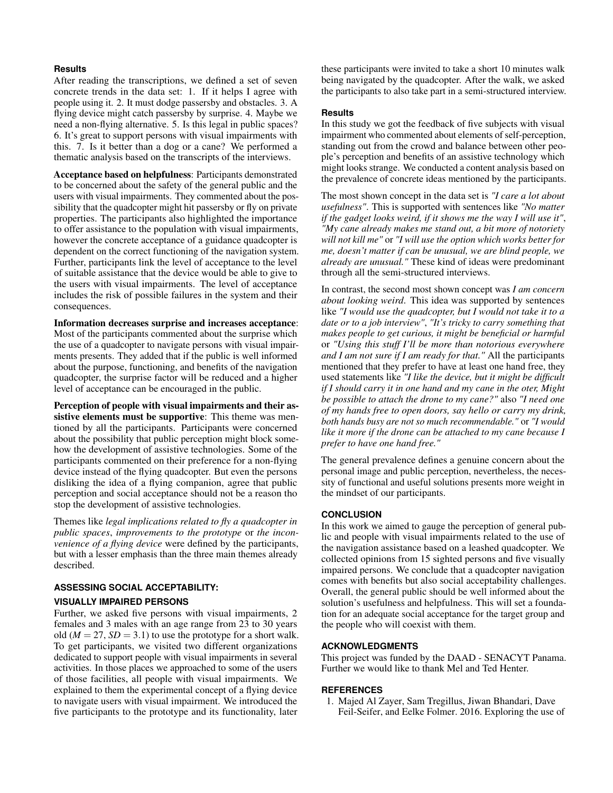## **Results**

After reading the transcriptions, we defined a set of seven concrete trends in the data set: 1. If it helps I agree with people using it. 2. It must dodge passersby and obstacles. 3. A flying device might catch passersby by surprise. 4. Maybe we need a non-flying alternative. 5. Is this legal in public spaces? 6. It's great to support persons with visual impairments with this. 7. Is it better than a dog or a cane? We performed a thematic analysis based on the transcripts of the interviews.

Acceptance based on helpfulness: Participants demonstrated to be concerned about the safety of the general public and the users with visual impairments. They commented about the possibility that the quadcopter might hit passersby or fly on private properties. The participants also highlighted the importance to offer assistance to the population with visual impairments, however the concrete acceptance of a guidance quadcopter is dependent on the correct functioning of the navigation system. Further, participants link the level of acceptance to the level of suitable assistance that the device would be able to give to the users with visual impairments. The level of acceptance includes the risk of possible failures in the system and their consequences.

### Information decreases surprise and increases acceptance:

Most of the participants commented about the surprise which the use of a quadcopter to navigate persons with visual impairments presents. They added that if the public is well informed about the purpose, functioning, and benefits of the navigation quadcopter, the surprise factor will be reduced and a higher level of acceptance can be encouraged in the public.

Perception of people with visual impairments and their assistive elements must be supportive: This theme was mentioned by all the participants. Participants were concerned about the possibility that public perception might block somehow the development of assistive technologies. Some of the participants commented on their preference for a non-flying device instead of the flying quadcopter. But even the persons disliking the idea of a flying companion, agree that public perception and social acceptance should not be a reason tho stop the development of assistive technologies.

Themes like *legal implications related to fly a quadcopter in public spaces*, *improvements to the prototype* or *the inconvenience of a flying device* were defined by the participants, but with a lesser emphasis than the three main themes already described.

# **ASSESSING SOCIAL ACCEPTABILITY:**

### **VISUALLY IMPAIRED PERSONS**

Further, we asked five persons with visual impairments, 2 females and 3 males with an age range from 23 to 30 years old ( $M = 27$ ,  $SD = 3.1$ ) to use the prototype for a short walk. To get participants, we visited two different organizations dedicated to support people with visual impairments in several activities. In those places we approached to some of the users of those facilities, all people with visual impairments. We explained to them the experimental concept of a flying device to navigate users with visual impairment. We introduced the five participants to the prototype and its functionality, later

these participants were invited to take a short 10 minutes walk being navigated by the quadcopter. After the walk, we asked the participants to also take part in a semi-structured interview.

## **Results**

In this study we got the feedback of five subjects with visual impairment who commented about elements of self-perception, standing out from the crowd and balance between other people's perception and benefits of an assistive technology which might looks strange. We conducted a content analysis based on the prevalence of concrete ideas mentioned by the participants.

The most shown concept in the data set is *"I care a lot about usefulness"*. This is supported with sentences like *"No matter if the gadget looks weird, if it shows me the way I will use it"*, *"My cane already makes me stand out, a bit more of notoriety will not kill me"* or *"I will use the option which works better for me, doesn't matter if can be unusual, we are blind people, we already are unusual."* These kind of ideas were predominant through all the semi-structured interviews.

In contrast, the second most shown concept was *I am concern about looking weird*. This idea was supported by sentences like *"I would use the quadcopter, but I would not take it to a date or to a job interview"*, *"It's tricky to carry something that makes people to get curious, it might be beneficial or harmful*  or *"Using this stuff I'll be more than notorious everywhere and I am not sure if I am ready for that."* All the participants mentioned that they prefer to have at least one hand free, they used statements like *"I like the device, but it might be difficult if I should carry it in one hand and my cane in the oter, Might be possible to attach the drone to my cane?"* also *"I need one of my hands free to open doors, say hello or carry my drink, both hands busy are not so much recommendable."* or *"I would like it more if the drone can be attached to my cane because I prefer to have one hand free."* 

The general prevalence defines a genuine concern about the personal image and public perception, nevertheless, the necessity of functional and useful solutions presents more weight in the mindset of our participants.

# **CONCLUSION**

In this work we aimed to gauge the perception of general public and people with visual impairments related to the use of the navigation assistance based on a leashed quadcopter. We collected opinions from 15 sighted persons and five visually impaired persons. We conclude that a quadcopter navigation comes with benefits but also social acceptability challenges. Overall, the general public should be well informed about the solution's usefulness and helpfulness. This will set a foundation for an adequate social acceptance for the target group and the people who will coexist with them.

### **ACKNOWLEDGMENTS**

This project was funded by the DAAD - SENACYT Panama. Further we would like to thank Mel and Ted Henter.

### <span id="page-1-0"></span>**REFERENCES**

1. Majed Al Zayer, Sam Tregillus, Jiwan Bhandari, Dave Feil-Seifer, and Eelke Folmer. 2016. Exploring the use of